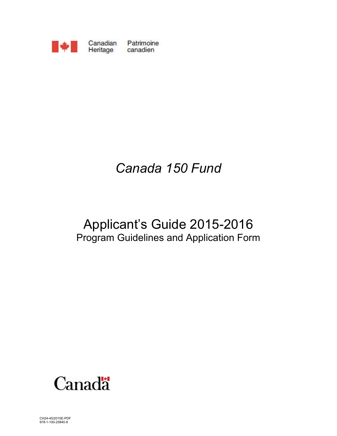

# *Canada 150 Fund*

## Applicant's Guide 2015-2016 Program Guidelines and Application Form



CH24-45/2015E-PDF 978-1-100-25840-9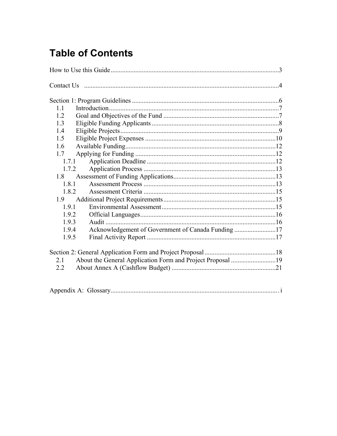### **Table of Contents**

| 1.1                                                         |  |
|-------------------------------------------------------------|--|
| 1.2                                                         |  |
| 1.3                                                         |  |
| 1.4                                                         |  |
| 1.5                                                         |  |
| 1.6                                                         |  |
| 1.7                                                         |  |
| 1.7.1                                                       |  |
| 1.7.2                                                       |  |
| 1.8                                                         |  |
| 1.8.1                                                       |  |
| 1.8.2                                                       |  |
| 1.9                                                         |  |
| 1.9.1                                                       |  |
| 1.9.2                                                       |  |
| 1.9.3                                                       |  |
| Acknowledgement of Government of Canada Funding 17<br>1.9.4 |  |
| 1.9.5                                                       |  |
|                                                             |  |
|                                                             |  |
| 21                                                          |  |
| 2.2                                                         |  |
|                                                             |  |
|                                                             |  |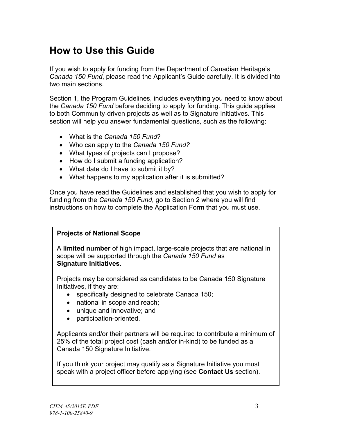### <span id="page-2-0"></span>**How to Use this Guide**

If you wish to apply for funding from the Department of Canadian Heritage's *Canada 150 Fund*, please read the Applicant's Guide carefully. It is divided into two main sections.

Section 1, the Program Guidelines, includes everything you need to know about the *Canada 150 Fund* before deciding to apply for funding. This guide applies to both Community-driven projects as well as to Signature Initiatives. This section will help you answer fundamental questions, such as the following:

- What is the *Canada 150 Fund*?
- Who can apply to the *Canada 150 Fund?*
- What types of projects can I propose?
- How do I submit a funding application?
- What date do I have to submit it by?
- What happens to my application after it is submitted?

Once you have read the Guidelines and established that you wish to apply for funding from the *Canada 150 Fund*, go to Section 2 where you will find instructions on how to complete the Application Form that you must use.

#### **Projects of National Scope**

A **limited number** of high impact, large-scale projects that are national in scope will be supported through the *Canada 150 Fund* as **Signature Initiatives**.

Projects may be considered as candidates to be Canada 150 Signature Initiatives, if they are:

- specifically designed to celebrate Canada 150;
- national in scope and reach;
- unique and innovative; and
- participation-oriented.

Applicants and/or their partners will be required to contribute a minimum of 25% of the total project cost (cash and/or in-kind) to be funded as a Canada 150 Signature Initiative.

If you think your project may qualify as a Signature Initiative you must speak with a project officer before applying (see **Contact Us** section).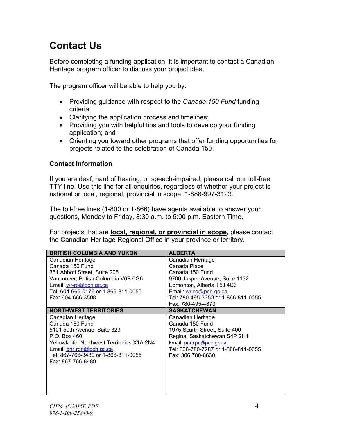### <span id="page-3-0"></span>**Contact Us**

Before completing a funding application, it is important to contact a Canadian Heritage program officer to discuss your project idea.

The program officer will be able to help you by:

- Providing guidance with respect to the *Canada 150 Fund* funding criteria;
- Clarifying the application process and timelines;
- Providing you with helpful tips and tools to develop your funding application; and
- Orienting you toward other programs that offer funding opportunities for projects related to the celebration of Canada 150.

#### **Contact Information**

If you are deaf, hard of hearing, or speech-impaired, please call our toll-free TTY line. Use this line for all enquiries, regardless of whether your project is national or local, regional, provincial in scope: 1-888-997-3123.

The toll-free lines (1-800 or 1-866) have agents available to answer your questions, Monday to Friday, 8:30 a.m. to 5:00 p.m. Eastern Time.

For projects that are **local, regional, or provincial in scope,** please contact the Canadian Heritage Regional Office in your province or territory.

| <b>BRITISH COLUMBIA AND YUKON</b>          | <b>ALBERTA</b>                      |
|--------------------------------------------|-------------------------------------|
| Canadian Heritage                          | Canadian Heritage                   |
| Canada 150 Fund                            | Canada Place                        |
| 351 Abbott Street, Suite 205               | Canada 150 Fund                     |
| Vancouver, British Columbia V6B 0G6        | 9700 Jasper Avenue, Suite 1132      |
| Email: wr-ro@pch.gc.ca                     | Edmonton, Alberta T5J 4C3           |
| Tel: 604-666-0176 or 1-866-811-0055        | Email: wr-ro@pch.gc.ca              |
| Fax: 604-666-3508                          | Tel: 780-495-3350 or 1-866-811-0055 |
|                                            | Fax: 780-495-4873                   |
| <b>NORTHWEST TERRITORIES</b>               | <b>SASKATCHEWAN</b>                 |
| Canadian Heritage                          | Canadian Heritage                   |
| Canada 150 Fund                            | Canada 150 Fund                     |
| 5101 50th Avenue, Suite 323                | 1975 Scarth Street, Suite 400       |
| P.O. Box 460                               | Regina, Saskatchewan S4P 2H1        |
| Yellowknife, Northwest Territories X1A 2N4 | Email: pnr.rpn@pch.qc.ca            |
| Email: pnr.rpn@pch.gc.ca                   | Tel: 306-780-7287 or 1-866-811-0055 |
| Tel: 867-766-8480 or 1-866-811-0055        | Fax: 306 780-6630                   |
| Fax: 867-766-8489                          |                                     |
|                                            |                                     |
|                                            |                                     |
|                                            |                                     |
|                                            |                                     |
|                                            |                                     |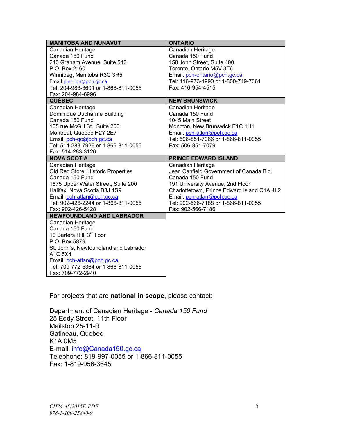| <b>MANITOBA AND NUNAVUT</b>                           | <b>ONTARIO</b>                                                                  |
|-------------------------------------------------------|---------------------------------------------------------------------------------|
| Canadian Heritage                                     | Canadian Heritage                                                               |
| Canada 150 Fund                                       | Canada 150 Fund                                                                 |
| 240 Graham Avenue, Suite 510                          | 150 John Street, Suite 400                                                      |
| P.O. Box 2160                                         | Toronto, Ontario M5V 3T6                                                        |
| Winnipeg, Manitoba R3C 3R5                            | Email: pch-ontario@pch.gc.ca                                                    |
| Email: pnr.rpn@pch.qc.ca                              | Tel: 416-973-1990 or 1-800-749-7061                                             |
| Tel: 204-983-3601 or 1-866-811-0055                   | Fax: 416-954-4515                                                               |
| Fax: 204-984-6996                                     |                                                                                 |
| <b>QUÉBEC</b>                                         | <b>NEW BRUNSWICK</b>                                                            |
| Canadian Heritage                                     | Canadian Heritage                                                               |
| Dominique Ducharme Building                           | Canada 150 Fund                                                                 |
| Canada 150 Fund                                       | 1045 Main Street                                                                |
| 105 rue McGill St., Suite 200                         | Moncton, New Brunswick E1C 1H1                                                  |
| Montréal, Quebec H2Y 2E7                              | Email: pch-atlan@pch.gc.ca                                                      |
| Email: pch-qc@pch.gc.ca                               | Tel: 506-851-7066 or 1-866-811-0055                                             |
| Tel: 514-283-7926 or 1-866-811-0055                   | Fax: 506-851-7079                                                               |
| Fax: 514-283-3126                                     |                                                                                 |
| <b>NOVA SCOTIA</b>                                    | <b>PRINCE EDWARD ISLAND</b>                                                     |
| Canadian Heritage                                     | Canadian Heritage<br>Jean Canfield Government of Canada Bld.                    |
| Old Red Store, Historic Properties<br>Canada 150 Fund | Canada 150 Fund                                                                 |
| 1875 Upper Water Street, Suite 200                    |                                                                                 |
| Halifax, Nova Scotia B3J 1S9                          | 191 University Avenue, 2nd Floor<br>Charlottetown, Prince Edward Island C1A 4L2 |
| Email: pch-atlan@pch.gc.ca                            | Email: pch-atlan@pch.gc.ca                                                      |
| Tel: 902-426-2244 or 1-866-811-0055                   | Tel: 902-566-7188 or 1-866-811-0055                                             |
| Fax: 902-426-5428                                     | Fax: 902-566-7186                                                               |
| NEWFOUNDLAND AND LABRADOR                             |                                                                                 |
| Canadian Heritage                                     |                                                                                 |
| Canada 150 Fund                                       |                                                                                 |
| 10 Barters Hill, 3rd floor                            |                                                                                 |
| P.O. Box 5879                                         |                                                                                 |
| St. John's, Newfoundland and Labrador                 |                                                                                 |
| A <sub>1</sub> C <sub>5</sub> X <sub>4</sub>          |                                                                                 |
| Email: pch-atlan@pch.gc.ca                            |                                                                                 |
| Tel: 709-772-5364 or 1-866-811-0055                   |                                                                                 |
| Fax: 709-772-2940                                     |                                                                                 |

For projects that are **national in scope**, please contact:

Department of Canadian Heritage - *Canada 150 Fund*  25 Eddy Street, 11th Floor Mailstop 25-11-R Gatineau, Quebec K1A 0M5 E-mail: [info@Canada150.gc.ca](mailto:info@Canada150.gc.ca) Telephone: 819-997-0055 or 1-866-811-0055 Fax: 1-819-956-3645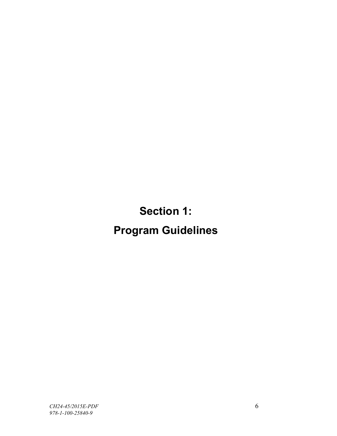**Section 1:**

# <span id="page-5-0"></span>**Program Guidelines**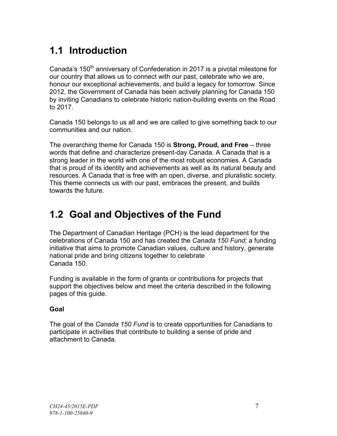### <span id="page-6-0"></span>**1.1 Introduction**

Canada's 150<sup>th</sup> anniversary of Confederation in 2017 is a pivotal milestone for our country that allows us to connect with our past, celebrate who we are, honour our exceptional achievements, and build a legacy for tomorrow. Since 2012, the Government of Canada has been actively planning for Canada 150 by inviting Canadians to celebrate historic nation-building events on the Road to 2017.

Canada 150 belongs to us all and we are called to give something back to our communities and our nation.

The overarching theme for Canada 150 is **Strong, Proud, and Free** – three words that define and characterize present-day Canada. A Canada that is a strong leader in the world with one of the most robust economies. A Canada that is proud of its identity and achievements as well as its natural beauty and resources. A Canada that is free with an open, diverse, and pluralistic society. This theme connects us with our past, embraces the present, and builds towards the future.

### <span id="page-6-1"></span>**1.2 Goal and Objectives of the Fund**

The Department of Canadian Heritage (PCH) is the lead department for the celebrations of Canada 150 and has created the *Canada 150 Fund;* a funding initiative that aims to promote Canadian values, culture and history, generate national pride and bring citizens together to celebrate Canada 150.

Funding is available in the form of grants or contributions for projects that support the objectives below and meet the criteria described in the following pages of this guide.

#### **Goal**

The goal of the *Canada 150 Fund* is to create opportunities for Canadians to participate in activities that contribute to building a sense of pride and attachment to Canada.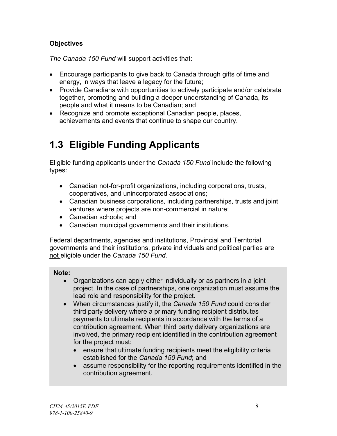#### **Objectives**

*The Canada 150 Fund* will support activities that:

- Encourage participants to give back to Canada through gifts of time and energy, in ways that leave a legacy for the future;
- Provide Canadians with opportunities to actively participate and/or celebrate together, promoting and building a deeper understanding of Canada, its people and what it means to be Canadian; and
- Recognize and promote exceptional Canadian people, places, achievements and events that continue to shape our country.

### <span id="page-7-0"></span>**1.3 Eligible Funding Applicants**

Eligible funding applicants under the *Canada 150 Fund* include the following types:

- Canadian not-for-profit organizations, including corporations, trusts, cooperatives, and unincorporated associations;
- Canadian business corporations, including partnerships, trusts and joint ventures where projects are non-commercial in nature;
- Canadian schools; and
- Canadian municipal governments and their institutions.

Federal departments, agencies and institutions, Provincial and Territorial governments and their institutions, private individuals and political parties are not eligible under the *Canada 150 Fund.*

#### **Note:**

- Organizations can apply either individually or as partners in a joint project. In the case of partnerships, one organization must assume the lead role and responsibility for the project.
- When circumstances justify it, the *Canada 150 Fund* could consider third party delivery where a primary funding recipient distributes payments to ultimate recipients in accordance with the terms of a contribution agreement. When third party delivery organizations are involved, the primary recipient identified in the contribution agreement for the project must:
	- ensure that ultimate funding recipients meet the eligibility criteria established for the *Canada 150 Fund*; and
	- assume responsibility for the reporting requirements identified in the contribution agreement.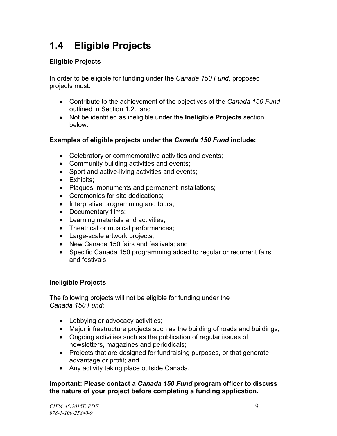### <span id="page-8-0"></span>**1.4 Eligible Projects**

#### **Eligible Projects**

In order to be eligible for funding under the *Canada 150 Fund*, proposed projects must:

- Contribute to the achievement of the objectives of the *Canada 150 Fund*  outlined in Section 1.2.; and
- Not be identified as ineligible under the **Ineligible Projects** section below.

#### **Examples of eligible projects under the** *Canada 150 Fund* **include:**

- Celebratory or commemorative activities and events;
- Community building activities and events;
- Sport and active-living activities and events;
- Exhibits:
- Plaques, monuments and permanent installations;
- Ceremonies for site dedications;
- Interpretive programming and tours;
- Documentary films;
- Learning materials and activities;
- Theatrical or musical performances:
- Large-scale artwork projects;
- New Canada 150 fairs and festivals; and
- Specific Canada 150 programming added to regular or recurrent fairs and festivals.

#### **Ineligible Projects**

The following projects will not be eligible for funding under the *Canada 150 Fund*:

- Lobbying or advocacy activities;
- Major infrastructure projects such as the building of roads and buildings;
- Ongoing activities such as the publication of regular issues of newsletters, magazines and periodicals;
- Projects that are designed for fundraising purposes, or that generate advantage or profit; and
- Any activity taking place outside Canada.

#### **Important: Please contact a** *Canada 150 Fund* **program officer to discuss the nature of your project before completing a funding application.**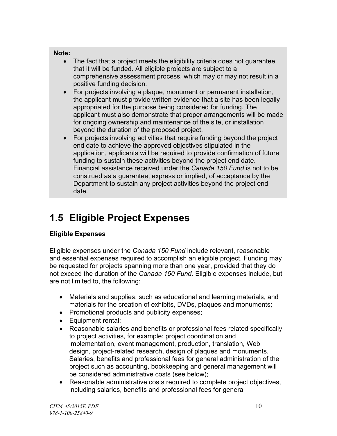#### **Note:**

- The fact that a project meets the eligibility criteria does not guarantee that it will be funded. All eligible projects are subject to a comprehensive assessment process, which may or may not result in a positive funding decision.
- For projects involving a plaque, monument or permanent installation, the applicant must provide written evidence that a site has been legally appropriated for the purpose being considered for funding. The applicant must also demonstrate that proper arrangements will be made for ongoing ownership and maintenance of the site, or installation beyond the duration of the proposed project.
- For projects involving activities that require funding beyond the project end date to achieve the approved objectives stipulated in the application, applicants will be required to provide confirmation of future funding to sustain these activities beyond the project end date. Financial assistance received under the *Canada 150 Fund* is not to be construed as a guarantee, express or implied, of acceptance by the Department to sustain any project activities beyond the project end date.

### <span id="page-9-0"></span>**1.5 Eligible Project Expenses**

### **Eligible Expenses**

Eligible expenses under the *Canada 150 Fund* include relevant, reasonable and essential expenses required to accomplish an eligible project. Funding may be requested for projects spanning more than one year, provided that they do not exceed the duration of the *Canada 150 Fund.* Eligible expenses include, but are not limited to, the following:

- Materials and supplies, such as educational and learning materials, and materials for the creation of exhibits, DVDs, plaques and monuments;
- Promotional products and publicity expenses;
- Equipment rental;
- Reasonable salaries and benefits or professional fees related specifically to project activities, for example: project coordination and implementation, event management, production, translation, Web design, project-related research, design of plaques and monuments. Salaries, benefits and professional fees for general administration of the project such as accounting, bookkeeping and general management will be considered administrative costs (see below);
- Reasonable administrative costs required to complete project objectives, including salaries, benefits and professional fees for general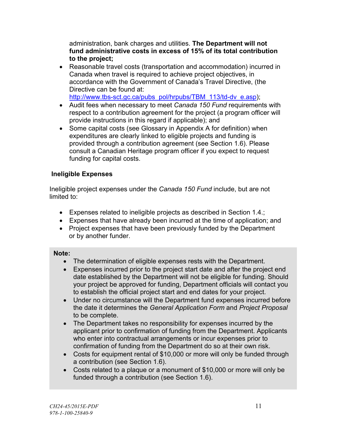administration, bank charges and utilities. **The Department will not fund administrative costs in excess of 15% of its total contribution to the project;**

- Reasonable travel costs (transportation and accommodation) incurred in Canada when travel is required to achieve project objectives, in accordance with the Government of Canada's Travel Directive, (the Directive can be found at: [http://www.tbs-sct.gc.ca/pubs\\_pol/hrpubs/TBM\\_113/td-dv\\_e.asp\)](http://www.tbs-sct.gc.ca/pubs_pol/hrpubs/TBM_113/td-dv_e.asp);
- Audit fees when necessary to meet *Canada 150 Fund* requirements with respect to a contribution agreement for the project (a program officer will provide instructions in this regard if applicable); and
- Some capital costs (see Glossary in Appendix A for definition) when expenditures are clearly linked to eligible projects and funding is provided through a contribution agreement (see Section 1.6). Please consult a Canadian Heritage program officer if you expect to request funding for capital costs.

#### **Ineligible Expenses**

Ineligible project expenses under the *Canada 150 Fund* include, but are not limited to:

- Expenses related to ineligible projects as described in Section 1.4.;
- Expenses that have already been incurred at the time of application; and
- Project expenses that have been previously funded by the Department or by another funder.

#### **Note:**

- The determination of eligible expenses rests with the Department.
- Expenses incurred prior to the project start date and after the project end date established by the Department will not be eligible for funding. Should your project be approved for funding, Department officials will contact you to establish the official project start and end dates for your project.
- Under no circumstance will the Department fund expenses incurred before the date it determines the *General Application Form* and *Project Proposal* to be complete.
- The Department takes no responsibility for expenses incurred by the applicant prior to confirmation of funding from the Department. Applicants who enter into contractual arrangements or incur expenses prior to confirmation of funding from the Department do so at their own risk.
- Costs for equipment rental of \$10,000 or more will only be funded through a contribution (see Section 1.6).
- Costs related to a plaque or a monument of \$10,000 or more will only be funded through a contribution (see Section 1.6).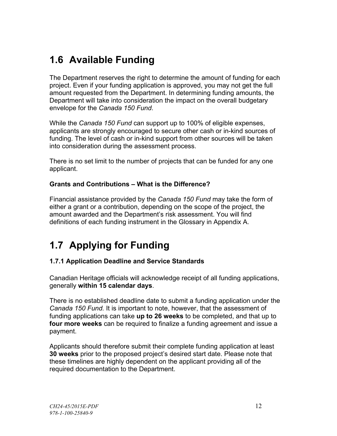### <span id="page-11-0"></span>**1.6 Available Funding**

The Department reserves the right to determine the amount of funding for each project. Even if your funding application is approved, you may not get the full amount requested from the Department. In determining funding amounts, the Department will take into consideration the impact on the overall budgetary envelope for the *Canada 150 Fund*.

While the *Canada 150 Fund* can support up to 100% of eligible expenses, applicants are strongly encouraged to secure other cash or in-kind sources of funding. The level of cash or in-kind support from other sources will be taken into consideration during the assessment process.

There is no set limit to the number of projects that can be funded for any one applicant.

#### **Grants and Contributions – What is the Difference?**

Financial assistance provided by the *Canada 150 Fund* may take the form of either a grant or a contribution, depending on the scope of the project, the amount awarded and the Department's risk assessment. You will find definitions of each funding instrument in the Glossary in Appendix A.

### <span id="page-11-1"></span>**1.7 Applying for Funding**

#### <span id="page-11-2"></span>**1.7.1 Application Deadline and Service Standards**

Canadian Heritage officials will acknowledge receipt of all funding applications, generally **within 15 calendar days**.

There is no established deadline date to submit a funding application under the *Canada 150 Fund.* It is important to note, however, that the assessment of funding applications can take **up to 26 weeks** to be completed, and that up to **four more weeks** can be required to finalize a funding agreement and issue a payment.

Applicants should therefore submit their complete funding application at least **30 weeks** prior to the proposed project's desired start date. Please note that these timelines are highly dependent on the applicant providing all of the required documentation to the Department.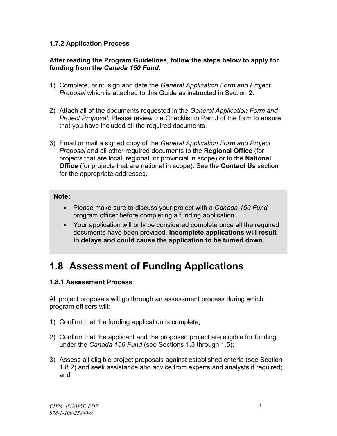#### <span id="page-12-0"></span>**1.7.2 Application Process**

#### **After reading the Program Guidelines, follow the steps below to apply for funding from the** *Canada 150 Fund***.**

- 1) Complete, print, sign and date the *General Application Form and Project Proposal* which is attached to this Guide as instructed in Section 2.
- 2) Attach all of the documents requested in the *General Application Form and Project Proposal*. Please review the Checklist in Part J of the form to ensure that you have included all the required documents.
- 3) Email or mail a signed copy of the *General Application Form and Project Proposal* and all other required documents to the **Regional Office** (for projects that are local, regional, or provincial in scope) or to the **National Office** (for projects that are national in scope). See the **Contact Us** section for the appropriate addresses.

#### **Note:**

- Please make sure to discuss your project with a *Canada 150 Fund* program officer before completing a funding application.
- Your application will only be considered complete once all the required documents have been provided. **Incomplete applications will result in delays and could cause the application to be turned down.**

### <span id="page-12-1"></span>**1.8 Assessment of Funding Applications**

#### <span id="page-12-2"></span>**1.8.1 Assessment Process**

All project proposals will go through an assessment process during which program officers will:

- 1) Confirm that the funding application is complete;
- 2) Confirm that the applicant and the proposed project are eligible for funding under the *Canada 150 Fund* (see Sections 1.3 through 1.5);
- 3) Assess all eligible project proposals against established criteria (see Section 1.8.2) and seek assistance and advice from experts and analysts if required; and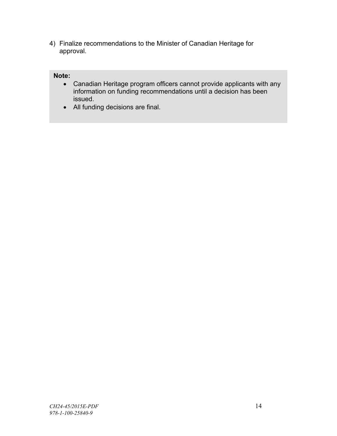4) Finalize recommendations to the Minister of Canadian Heritage for approval.

#### **Note:**

- Canadian Heritage program officers cannot provide applicants with any information on funding recommendations until a decision has been issued.
- All funding decisions are final.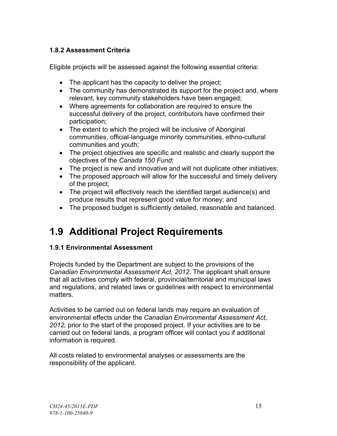#### <span id="page-14-0"></span>**1.8.2 Assessment Criteria**

Eligible projects will be assessed against the following essential criteria:

- The applicant has the capacity to deliver the project;
- The community has demonstrated its support for the project and, where relevant, key community stakeholders have been engaged;
- Where agreements for collaboration are required to ensure the successful delivery of the project, contributors have confirmed their participation;
- The extent to which the project will be inclusive of Aboriginal communities, official-language minority communities, ethno-cultural communities and youth;
- The project objectives are specific and realistic and clearly support the objectives of the *Canada 150 Fund*;
- The project is new and innovative and will not duplicate other initiatives;
- The proposed approach will allow for the successful and timely delivery of the project;
- The project will effectively reach the identified target audience(s) and produce results that represent good value for money; and
- The proposed budget is sufficiently detailed, reasonable and balanced.

### **1.9 Additional Project Requirements**

#### **1.9.1 Environmental Assessment**

Projects funded by the Department are subject to the provisions of the *Canadian Environmental Assessment Act, 2012*. The applicant shall ensure that all activities comply with federal, provincial/territorial and municipal laws and regulations, and related laws or guidelines with respect to environmental matters.

Activities to be carried out on federal lands may require an evaluation of environmental effects under the *Canadian Environmental Assessment Act, 2012,* prior to the start of the proposed project. If your activities are to be carried out on federal lands, a program officer will contact you if additional information is required.

All costs related to environmental analyses or assessments are the responsibility of the applicant.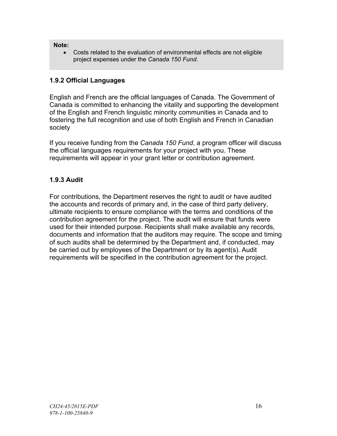#### <span id="page-15-0"></span>**Note:**

• Costs related to the evaluation of environmental effects are not eligible project expenses under the *Canada 150 Fund*.

#### **1.9.2 Official Languages**

English and French are the official languages of Canada. The Government of Canada is committed to enhancing the vitality and supporting the development of the English and French linguistic minority communities in Canada and to fostering the full recognition and use of both English and French in Canadian society

If you receive funding from the *Canada 150 Fund*, a program officer will discuss the official languages requirements for your project with you. These requirements will appear in your grant letter or contribution agreement.

#### **1.9.3 Audit**

For contributions, the Department reserves the right to audit or have audited the accounts and records of primary and, in the case of third party delivery, ultimate recipients to ensure compliance with the terms and conditions of the contribution agreement for the project. The audit will ensure that funds were used for their intended purpose. Recipients shall make available any records, documents and information that the auditors may require. The scope and timing of such audits shall be determined by the Department and, if conducted, may be carried out by employees of the Department or by its agent(s). Audit requirements will be specified in the contribution agreement for the project.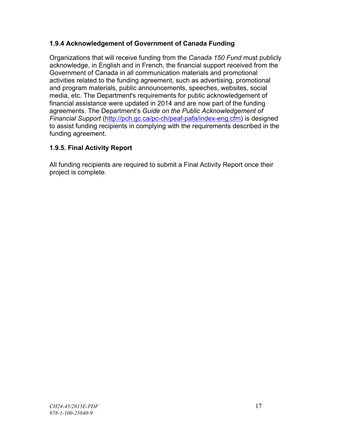#### <span id="page-16-0"></span>**1.9.4 Acknowledgement of Government of Canada Funding**

Organizations that will receive funding from the *Canada 150 Fund* must publicly acknowledge, in English and in French, the financial support received from the Government of Canada in all communication materials and promotional activities related to the funding agreement, such as advertising, promotional and program materials, public announcements, speeches, websites, social media, etc. The Department's requirements for public acknowledgement of financial assistance were updated in 2014 and are now part of the funding agreements. The Department's *Guide on the Public Acknowledgement of Financial Support* [\(http://pch.gc.ca/pc-ch/peaf-pafa/index-eng.cfm\)](http://pch.gc.ca/pc-ch/peaf-pafa/index-eng.cfm) is designed to assist funding recipients in complying with the requirements described in the funding agreement.

#### **1.9.5. Final Activity Report**

All funding recipients are required to submit a Final Activity Report once their project is complete.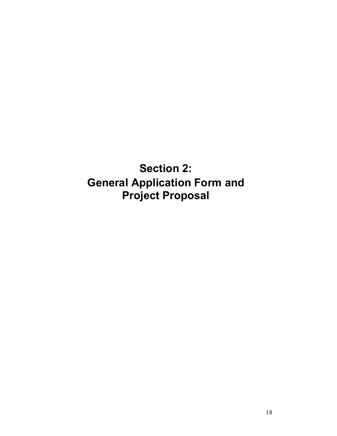<span id="page-17-0"></span>**Section 2: General Application Form and Project Proposal**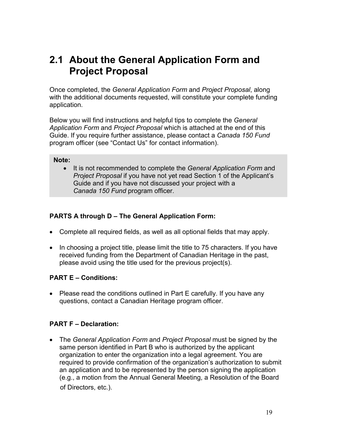### <span id="page-18-0"></span>**2.1 About the General Application Form and Project Proposal**

Once completed, the *General Application Form* and *Project Proposal*, along with the additional documents requested, will constitute your complete funding application.

Below you will find instructions and helpful tips to complete the *General Application Form* and *Project Proposal* which is attached at the end of this Guide. If you require further assistance, please contact a *Canada 150 Fund* program officer (see "Contact Us" for contact information).

#### **Note:**

• It is not recommended to complete the *General Application Form* and *Project Proposal* if you have not yet read Section 1 of the Applicant's Guide and if you have not discussed your project with a *Canada 150 Fund* program officer.

#### **PARTS A through D – The General Application Form:**

- Complete all required fields, as well as all optional fields that may apply.
- In choosing a project title, please limit the title to 75 characters. If you have received funding from the Department of Canadian Heritage in the past, please avoid using the title used for the previous project(s).

#### **PART E – Conditions:**

• Please read the conditions outlined in Part E carefully. If you have any questions, contact a Canadian Heritage program officer.

#### **PART F – Declaration:**

• The *General Application Form* and *Project Proposal* must be signed by the same person identified in Part B who is authorized by the applicant organization to enter the organization into a legal agreement. You are required to provide confirmation of the organization's authorization to submit an application and to be represented by the person signing the application (e.g., a motion from the Annual General Meeting, a Resolution of the Board of Directors, etc.).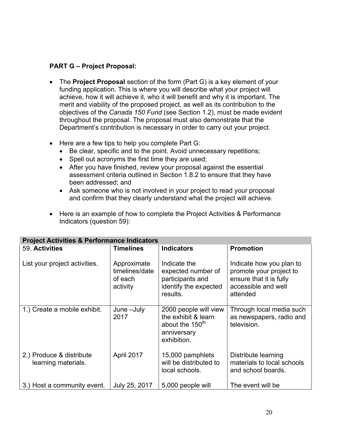#### **PART G – Project Proposal:**

- The **Project Proposal** section of the form (Part G) is a key element of your funding application. This is where you will describe what your project will achieve, how it will achieve it, who it will benefit and why it is important. The merit and viability of the proposed project, as well as its contribution to the objectives of the *Canada 150 Fund* (see Section 1.2), must be made evident throughout the proposal. The proposal must also demonstrate that the Department's contribution is necessary in order to carry out your project.
- Here are a few tips to help you complete Part G:
	- Be clear, specific and to the point. Avoid unnecessary repetitions;
	- Spell out acronyms the first time they are used;
	- After you have finished, review your proposal against the essential assessment criteria outlined in Section 1.8.2 to ensure that they have been addressed; and
	- Ask someone who is not involved in your project to read your proposal and confirm that they clearly understand what the project will achieve.
- Here is an example of how to complete the Project Activities & Performance Indicators (question 59):

| <b>Project Activities &amp; Performance Indicators</b> |                                                      |                                                                                                           |                                                                                                                   |  |
|--------------------------------------------------------|------------------------------------------------------|-----------------------------------------------------------------------------------------------------------|-------------------------------------------------------------------------------------------------------------------|--|
| 59. Activities                                         | <b>Timelines</b>                                     | <b>Indicators</b>                                                                                         | <b>Promotion</b>                                                                                                  |  |
| List your project activities.                          | Approximate<br>timelines/date<br>of each<br>activity | Indicate the<br>expected number of<br>participants and<br>identify the expected<br>results.               | Indicate how you plan to<br>promote your project to<br>ensure that it is fully<br>accessible and well<br>attended |  |
| 1.) Create a mobile exhibit.                           | June -July<br>2017                                   | 2000 people will view<br>the exhibit & learn<br>about the 150 <sup>th</sup><br>anniversary<br>exhibition. | Through local media such<br>as newspapers, radio and<br>television.                                               |  |
| 2.) Produce & distribute<br>learning materials.        | April 2017                                           | 15,000 pamphlets<br>will be distributed to<br>local schools.                                              | Distribute learning<br>materials to local schools<br>and school boards.                                           |  |
| 3.) Host a community event.                            | July 25, 2017                                        | 5,000 people will                                                                                         | The event will be                                                                                                 |  |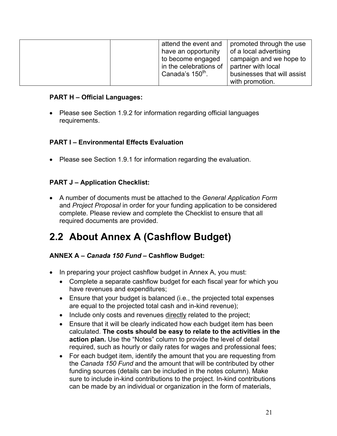<span id="page-20-0"></span>

| attend the event and   | promoted through the use    |
|------------------------|-----------------------------|
| have an opportunity    | of a local advertising      |
| to become engaged      | campaign and we hope to     |
| in the celebrations of | partner with local          |
| Canada's $150th$ .     | businesses that will assist |
|                        | with promotion.             |

#### **PART H – Official Languages:**

• Please see Section 1.9.2 for information regarding official languages requirements.

#### **PART I – Environmental Effects Evaluation**

• Please see Section 1.9.1 for information regarding the evaluation.

#### **PART J – Application Checklist:**

• A number of documents must be attached to the *General Application Form*  and *Project Proposal* in order for your funding application to be considered complete. Please review and complete the Checklist to ensure that all required documents are provided.

### **2.2 About Annex A (Cashflow Budget)**

#### **ANNEX A –** *Canada 150 Fund* **– Cashflow Budget:**

- In preparing your project cashflow budget in Annex A, you must:
	- Complete a separate cashflow budget for each fiscal year for which you have revenues and expenditures;
	- Ensure that your budget is balanced (i.e., the projected total expenses are equal to the projected total cash and in-kind revenue);
	- Include only costs and revenues directly related to the project;
	- Ensure that it will be clearly indicated how each budget item has been calculated. **The costs should be easy to relate to the activities in the action plan.** Use the "Notes" column to provide the level of detail required, such as hourly or daily rates for wages and professional fees;
	- For each budget item, identify the amount that you are requesting from the *Canada 150 Fund* and the amount that will be contributed by other funding sources (details can be included in the notes column). Make sure to include in-kind contributions to the project. In-kind contributions can be made by an individual or organization in the form of materials,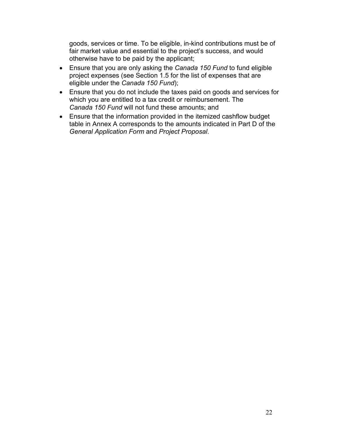goods, services or time. To be eligible, in-kind contributions must be of fair market value and essential to the project's success, and would otherwise have to be paid by the applicant;

- Ensure that you are only asking the *Canada 150 Fund* to fund eligible project expenses (see Section 1.5 for the list of expenses that are eligible under the *Canada 150 Fund*);
- Ensure that you do not include the taxes paid on goods and services for which you are entitled to a tax credit or reimbursement. The *Canada 150 Fund* will not fund these amounts; and
- Ensure that the information provided in the itemized cashflow budget table in Annex A corresponds to the amounts indicated in Part D of the *General Application Form* and *Project Proposal*.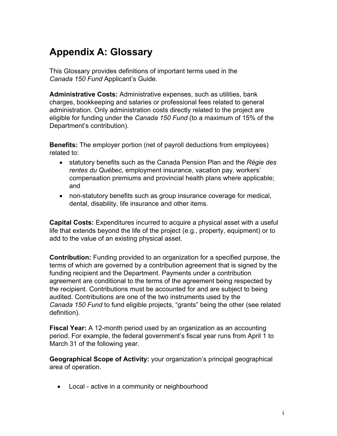### <span id="page-22-0"></span>**Appendix A: Glossary**

This Glossary provides definitions of important terms used in the *Canada 150 Fund* Applicant's Guide*.*

**Administrative Costs:** Administrative expenses, such as utilities, bank charges, bookkeeping and salaries or professional fees related to general administration. Only administration costs directly related to the project are eligible for funding under the *Canada 150 Fund* (to a maximum of 15% of the Department's contribution).

**Benefits:** The employer portion (net of payroll deductions from employees) related to:

- statutory benefits such as the Canada Pension Plan and the *Régie des rentes du Québec*, employment insurance, vacation pay, workers' compensation premiums and provincial health plans where applicable; and
- non-statutory benefits such as group insurance coverage for medical, dental, disability, life insurance and other items.

**Capital Costs:** Expenditures incurred to acquire a physical asset with a useful life that extends beyond the life of the project (e.g., property, equipment) or to add to the value of an existing physical asset.

**Contribution:** Funding provided to an organization for a specified purpose, the terms of which are governed by a contribution agreement that is signed by the funding recipient and the Department. Payments under a contribution agreement are conditional to the terms of the agreement being respected by the recipient. Contributions must be accounted for and are subject to being audited. Contributions are one of the two instruments used by the *Canada 150 Fund* to fund eligible projects, "grants" being the other (see related definition).

**Fiscal Year:** A 12-month period used by an organization as an accounting period. For example, the federal government's fiscal year runs from April 1 to March 31 of the following year.

**Geographical Scope of Activity:** your organization's principal geographical area of operation.

• Local - active in a community or neighbourhood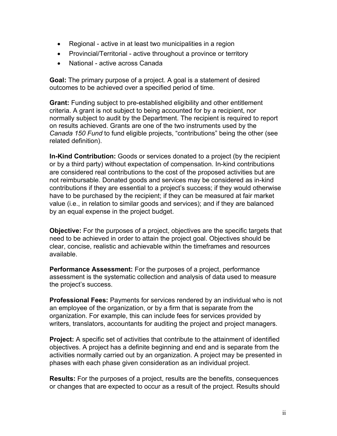- Regional active in at least two municipalities in a region
- Provincial/Territorial active throughout a province or territory
- National active across Canada

**Goal:** The primary purpose of a project. A goal is a statement of desired outcomes to be achieved over a specified period of time.

**Grant:** Funding subject to pre-established eligibility and other entitlement criteria. A grant is not subject to being accounted for by a recipient, nor normally subject to audit by the Department. The recipient is required to report on results achieved. Grants are one of the two instruments used by the *Canada 150 Fund* to fund eligible projects, "contributions" being the other (see related definition).

**In-Kind Contribution:** Goods or services donated to a project (by the recipient or by a third party) without expectation of compensation. In-kind contributions are considered real contributions to the cost of the proposed activities but are not reimbursable. Donated goods and services may be considered as in-kind contributions if they are essential to a project's success; if they would otherwise have to be purchased by the recipient; if they can be measured at fair market value (i.e., in relation to similar goods and services); and if they are balanced by an equal expense in the project budget.

**Objective:** For the purposes of a project, objectives are the specific targets that need to be achieved in order to attain the project goal. Objectives should be clear, concise, realistic and achievable within the timeframes and resources available.

**Performance Assessment:** For the purposes of a project, performance assessment is the systematic collection and analysis of data used to measure the project's success.

**Professional Fees:** Payments for services rendered by an individual who is not an employee of the organization, or by a firm that is separate from the organization. For example, this can include fees for services provided by writers, translators, accountants for auditing the project and project managers.

**Project:** A specific set of activities that contribute to the attainment of identified objectives. A project has a definite beginning and end and is separate from the activities normally carried out by an organization. A project may be presented in phases with each phase given consideration as an individual project.

**Results:** For the purposes of a project, results are the benefits, consequences or changes that are expected to occur as a result of the project. Results should